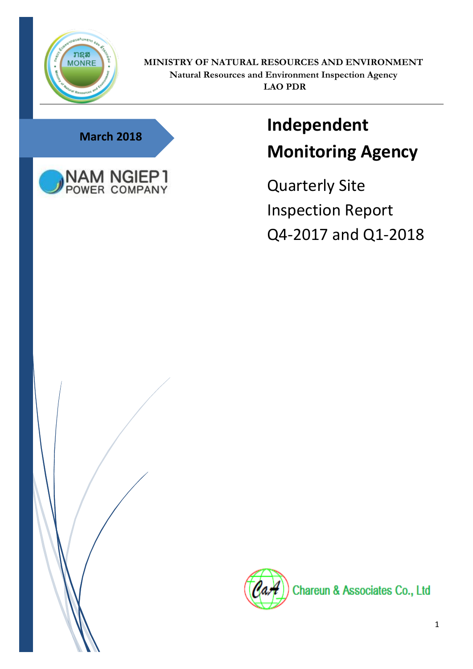

**MINISTRY OF NATURAL RESOURCES AND ENVIRONMENT Natural Resources and Environment Inspection Agency LAO PDR**

# **March 2018**



# **Independent Monitoring Agency**

Quarterly Site Inspection Report Q4-2017 and Q1-2018

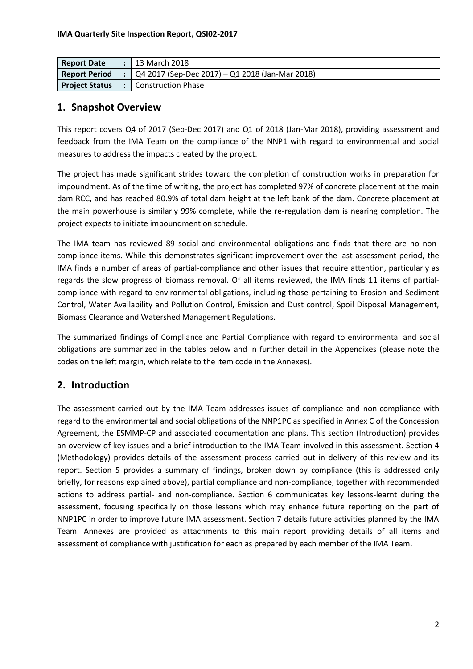| <b>Report Date</b>    | l 13 March 2018                                   |
|-----------------------|---------------------------------------------------|
| <b>Report Period</b>  | $Q4$ 2017 (Sep-Dec 2017) – Q1 2018 (Jan-Mar 2018) |
| <b>Project Status</b> | <sup>1</sup> Construction Phase                   |

#### **1. Snapshot Overview**

This report covers Q4 of 2017 (Sep-Dec 2017) and Q1 of 2018 (Jan-Mar 2018), providing assessment and feedback from the IMA Team on the compliance of the NNP1 with regard to environmental and social measures to address the impacts created by the project.

The project has made significant strides toward the completion of construction works in preparation for impoundment. As of the time of writing, the project has completed 97% of concrete placement at the main dam RCC, and has reached 80.9% of total dam height at the left bank of the dam. Concrete placement at the main powerhouse is similarly 99% complete, while the re-regulation dam is nearing completion. The project expects to initiate impoundment on schedule.

The IMA team has reviewed 89 social and environmental obligations and finds that there are no noncompliance items. While this demonstrates significant improvement over the last assessment period, the IMA finds a number of areas of partial-compliance and other issues that require attention, particularly as regards the slow progress of biomass removal. Of all items reviewed, the IMA finds 11 items of partialcompliance with regard to environmental obligations, including those pertaining to Erosion and Sediment Control, Water Availability and Pollution Control, Emission and Dust control, Spoil Disposal Management, Biomass Clearance and Watershed Management Regulations.

The summarized findings of Compliance and Partial Compliance with regard to environmental and social obligations are summarized in the tables below and in further detail in the Appendixes (please note the codes on the left margin, which relate to the item code in the Annexes).

### **2. Introduction**

The assessment carried out by the IMA Team addresses issues of compliance and non-compliance with regard to the environmental and social obligations of the NNP1PC as specified in Annex C of the Concession Agreement, the ESMMP-CP and associated documentation and plans. This section (Introduction) provides an overview of key issues and a brief introduction to the IMA Team involved in this assessment. Section 4 (Methodology) provides details of the assessment process carried out in delivery of this review and its report. Section 5 provides a summary of findings, broken down by compliance (this is addressed only briefly, for reasons explained above), partial compliance and non-compliance, together with recommended actions to address partial- and non-compliance. Section 6 communicates key lessons-learnt during the assessment, focusing specifically on those lessons which may enhance future reporting on the part of NNP1PC in order to improve future IMA assessment. Section 7 details future activities planned by the IMA Team. Annexes are provided as attachments to this main report providing details of all items and assessment of compliance with justification for each as prepared by each member of the IMA Team.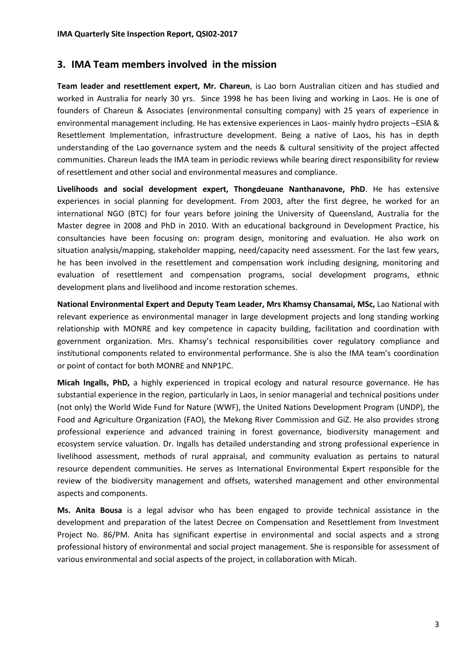#### **3. IMA Team members involved in the mission**

**Team leader and resettlement expert, Mr. Chareun**, is Lao born Australian citizen and has studied and worked in Australia for nearly 30 yrs. Since 1998 he has been living and working in Laos. He is one of founders of Chareun & Associates (environmental consulting company) with 25 years of experience in environmental management including. He has extensive experiences in Laos- mainly hydro projects –ESIA & Resettlement Implementation, infrastructure development. Being a native of Laos, his has in depth understanding of the Lao governance system and the needs & cultural sensitivity of the project affected communities. Chareun leads the IMA team in periodic reviews while bearing direct responsibility for review of resettlement and other social and environmental measures and compliance.

**Livelihoods and social development expert, Thongdeuane Nanthanavone, PhD**. He has extensive experiences in social planning for development. From 2003, after the first degree, he worked for an international NGO (BTC) for four years before joining the University of Queensland, Australia for the Master degree in 2008 and PhD in 2010. With an educational background in Development Practice, his consultancies have been focusing on: program design, monitoring and evaluation. He also work on situation analysis/mapping, stakeholder mapping, need/capacity need assessment. For the last few years, he has been involved in the resettlement and compensation work including designing, monitoring and evaluation of resettlement and compensation programs, social development programs, ethnic development plans and livelihood and income restoration schemes.

**National Environmental Expert and Deputy Team Leader, Mrs Khamsy Chansamai, MSc,** Lao National with relevant experience as environmental manager in large development projects and long standing working relationship with MONRE and key competence in capacity building, facilitation and coordination with government organization. Mrs. Khamsy's technical responsibilities cover regulatory compliance and institutional components related to environmental performance. She is also the IMA team's coordination or point of contact for both MONRE and NNP1PC.

**Micah Ingalls, PhD,** a highly experienced in tropical ecology and natural resource governance. He has substantial experience in the region, particularly in Laos, in senior managerial and technical positions under (not only) the World Wide Fund for Nature (WWF), the United Nations Development Program (UNDP), the Food and Agriculture Organization (FAO), the Mekong River Commission and GiZ. He also provides strong professional experience and advanced training in forest governance, biodiversity management and ecosystem service valuation. Dr. Ingalls has detailed understanding and strong professional experience in livelihood assessment, methods of rural appraisal, and community evaluation as pertains to natural resource dependent communities. He serves as International Environmental Expert responsible for the review of the biodiversity management and offsets, watershed management and other environmental aspects and components.

**Ms. Anita Bousa** is a legal advisor who has been engaged to provide technical assistance in the development and preparation of the latest Decree on Compensation and Resettlement from Investment Project No. 86/PM. Anita has significant expertise in environmental and social aspects and a strong professional history of environmental and social project management. She is responsible for assessment of various environmental and social aspects of the project, in collaboration with Micah.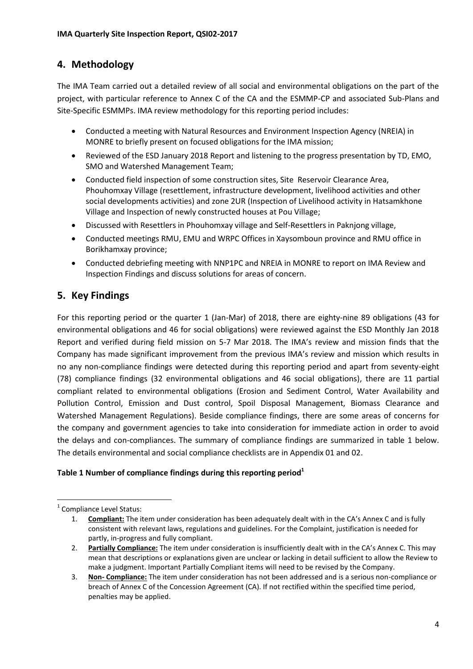### **4. Methodology**

The IMA Team carried out a detailed review of all social and environmental obligations on the part of the project, with particular reference to Annex C of the CA and the ESMMP-CP and associated Sub-Plans and Site-Specific ESMMPs. IMA review methodology for this reporting period includes:

- Conducted a meeting with Natural Resources and Environment Inspection Agency (NREIA) in MONRE to briefly present on focused obligations for the IMA mission;
- Reviewed of the ESD January 2018 Report and listening to the progress presentation by TD, EMO, SMO and Watershed Management Team;
- Conducted field inspection of some construction sites, Site Reservoir Clearance Area, Phouhomxay Village (resettlement, infrastructure development, livelihood activities and other social developments activities) and zone 2UR (Inspection of Livelihood activity in Hatsamkhone Village and Inspection of newly constructed houses at Pou Village;
- Discussed with Resettlers in Phouhomxay village and Self-Resettlers in Paknjong village,
- Conducted meetings RMU, EMU and WRPC Offices in Xaysomboun province and RMU office in Borikhamxay province;
- Conducted debriefing meeting with NNP1PC and NREIA in MONRE to report on IMA Review and Inspection Findings and discuss solutions for areas of concern.

## **5. Key Findings**

For this reporting period or the quarter 1 (Jan-Mar) of 2018, there are eighty-nine 89 obligations (43 for environmental obligations and 46 for social obligations) were reviewed against the ESD Monthly Jan 2018 Report and verified during field mission on 5-7 Mar 2018. The IMA's review and mission finds that the Company has made significant improvement from the previous IMA's review and mission which results in no any non-compliance findings were detected during this reporting period and apart from seventy-eight (78) compliance findings (32 environmental obligations and 46 social obligations), there are 11 partial compliant related to environmental obligations (Erosion and Sediment Control, Water Availability and Pollution Control, Emission and Dust control, Spoil Disposal Management, Biomass Clearance and Watershed Management Regulations). Beside compliance findings, there are some areas of concerns for the company and government agencies to take into consideration for immediate action in order to avoid the delays and con-compliances. The summary of compliance findings are summarized in table 1 below. The details environmental and social compliance checklists are in Appendix 01 and 02.

#### **Table 1 Number of compliance findings during this reporting period<sup>1</sup>**

 1 Compliance Level Status:

<sup>1.</sup> **Compliant:** The item under consideration has been adequately dealt with in the CA's Annex C and is fully consistent with relevant laws, regulations and guidelines. For the Complaint, justification is needed for partly, in-progress and fully compliant.

<sup>2.</sup> **Partially Compliance:** The item under consideration is insufficiently dealt with in the CA's Annex C. This may mean that descriptions or explanations given are unclear or lacking in detail sufficient to allow the Review to make a judgment. Important Partially Compliant items will need to be revised by the Company.

<sup>3.</sup> **Non- Compliance:** The item under consideration has not been addressed and is a serious non-compliance or breach of Annex C of the Concession Agreement (CA). If not rectified within the specified time period, penalties may be applied.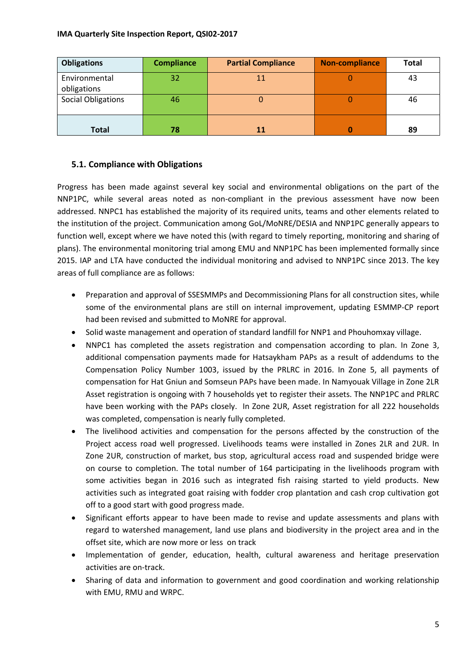| <b>Obligations</b>           | <b>Compliance</b> | <b>Partial Compliance</b> | <b>Non-compliance</b> | <b>Total</b> |
|------------------------------|-------------------|---------------------------|-----------------------|--------------|
| Environmental<br>obligations | 32                | 11                        |                       | 43           |
| <b>Social Obligations</b>    | 46                |                           |                       | 46           |
| <b>Total</b>                 | 78                |                           |                       | 89           |

#### **5.1. Compliance with Obligations**

Progress has been made against several key social and environmental obligations on the part of the NNP1PC, while several areas noted as non-compliant in the previous assessment have now been addressed. NNPC1 has established the majority of its required units, teams and other elements related to the institution of the project. Communication among GoL/MoNRE/DESIA and NNP1PC generally appears to function well, except where we have noted this (with regard to timely reporting, monitoring and sharing of plans). The environmental monitoring trial among EMU and NNP1PC has been implemented formally since 2015. IAP and LTA have conducted the individual monitoring and advised to NNP1PC since 2013. The key areas of full compliance are as follows:

- Preparation and approval of SSESMMPs and Decommissioning Plans for all construction sites, while some of the environmental plans are still on internal improvement, updating ESMMP-CP report had been revised and submitted to MoNRE for approval.
- Solid waste management and operation of standard landfill for NNP1 and Phouhomxay village.
- NNPC1 has completed the assets registration and compensation according to plan. In Zone 3, additional compensation payments made for Hatsaykham PAPs as a result of addendums to the Compensation Policy Number 1003, issued by the PRLRC in 2016. In Zone 5, all payments of compensation for Hat Gniun and Somseun PAPs have been made. In Namyouak Village in Zone 2LR Asset registration is ongoing with 7 households yet to register their assets. The NNP1PC and PRLRC have been working with the PAPs closely. In Zone 2UR, Asset registration for all 222 households was completed, compensation is nearly fully completed.
- The livelihood activities and compensation for the persons affected by the construction of the Project access road well progressed. Livelihoods teams were installed in Zones 2LR and 2UR. In Zone 2UR, construction of market, bus stop, agricultural access road and suspended bridge were on course to completion. The total number of 164 participating in the livelihoods program with some activities began in 2016 such as integrated fish raising started to yield products. New activities such as integrated goat raising with fodder crop plantation and cash crop cultivation got off to a good start with good progress made.
- Significant efforts appear to have been made to revise and update assessments and plans with regard to watershed management, land use plans and biodiversity in the project area and in the offset site, which are now more or less on track
- Implementation of gender, education, health, cultural awareness and heritage preservation activities are on-track.
- Sharing of data and information to government and good coordination and working relationship with EMU, RMU and WRPC.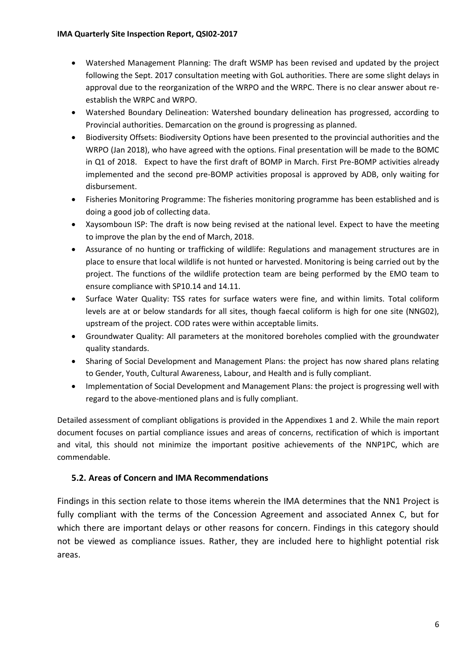- Watershed Management Planning: The draft WSMP has been revised and updated by the project following the Sept. 2017 consultation meeting with GoL authorities. There are some slight delays in approval due to the reorganization of the WRPO and the WRPC. There is no clear answer about reestablish the WRPC and WRPO.
- Watershed Boundary Delineation: Watershed boundary delineation has progressed, according to Provincial authorities. Demarcation on the ground is progressing as planned.
- Biodiversity Offsets: Biodiversity Options have been presented to the provincial authorities and the WRPO (Jan 2018), who have agreed with the options. Final presentation will be made to the BOMC in Q1 of 2018. Expect to have the first draft of BOMP in March. First Pre-BOMP activities already implemented and the second pre-BOMP activities proposal is approved by ADB, only waiting for disbursement.
- Fisheries Monitoring Programme: The fisheries monitoring programme has been established and is doing a good job of collecting data.
- Xaysomboun ISP: The draft is now being revised at the national level. Expect to have the meeting to improve the plan by the end of March, 2018.
- Assurance of no hunting or trafficking of wildlife: Regulations and management structures are in place to ensure that local wildlife is not hunted or harvested. Monitoring is being carried out by the project. The functions of the wildlife protection team are being performed by the EMO team to ensure compliance with SP10.14 and 14.11.
- Surface Water Quality: TSS rates for surface waters were fine, and within limits. Total coliform levels are at or below standards for all sites, though faecal coliform is high for one site (NNG02), upstream of the project. COD rates were within acceptable limits.
- Groundwater Quality: All parameters at the monitored boreholes complied with the groundwater quality standards.
- Sharing of Social Development and Management Plans: the project has now shared plans relating to Gender, Youth, Cultural Awareness, Labour, and Health and is fully compliant.
- Implementation of Social Development and Management Plans: the project is progressing well with regard to the above-mentioned plans and is fully compliant.

Detailed assessment of compliant obligations is provided in the Appendixes 1 and 2. While the main report document focuses on partial compliance issues and areas of concerns, rectification of which is important and vital, this should not minimize the important positive achievements of the NNP1PC, which are commendable.

#### **5.2. Areas of Concern and IMA Recommendations**

Findings in this section relate to those items wherein the IMA determines that the NN1 Project is fully compliant with the terms of the Concession Agreement and associated Annex C, but for which there are important delays or other reasons for concern. Findings in this category should not be viewed as compliance issues. Rather, they are included here to highlight potential risk areas.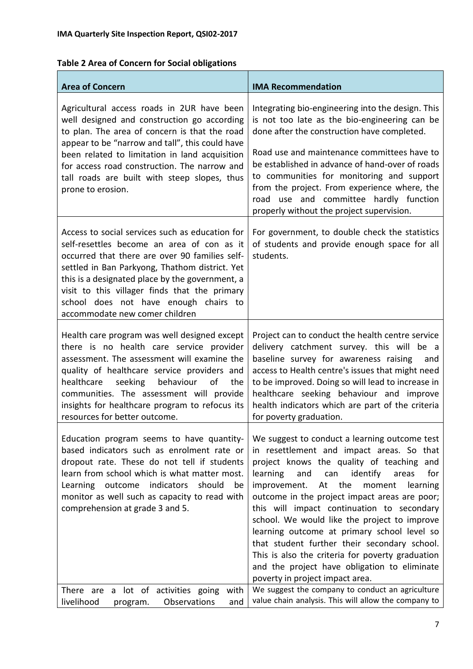# **Table 2 Area of Concern for Social obligations**

| <b>Area of Concern</b>                                                                                                                                                                                                                                                                                                                                                           | <b>IMA Recommendation</b>                                                                                                                                                                                                                                                                                                                                                                                                                                                                                                                                                                                                             |
|----------------------------------------------------------------------------------------------------------------------------------------------------------------------------------------------------------------------------------------------------------------------------------------------------------------------------------------------------------------------------------|---------------------------------------------------------------------------------------------------------------------------------------------------------------------------------------------------------------------------------------------------------------------------------------------------------------------------------------------------------------------------------------------------------------------------------------------------------------------------------------------------------------------------------------------------------------------------------------------------------------------------------------|
| Agricultural access roads in 2UR have been<br>well designed and construction go according<br>to plan. The area of concern is that the road<br>appear to be "narrow and tall", this could have<br>been related to limitation in land acquisition<br>for access road construction. The narrow and<br>tall roads are built with steep slopes, thus<br>prone to erosion.             | Integrating bio-engineering into the design. This<br>is not too late as the bio-engineering can be<br>done after the construction have completed.<br>Road use and maintenance committees have to<br>be established in advance of hand-over of roads<br>to communities for monitoring and support<br>from the project. From experience where, the<br>use and committee hardly function<br>road<br>properly without the project supervision.                                                                                                                                                                                            |
| Access to social services such as education for<br>self-resettles become an area of con as it<br>occurred that there are over 90 families self-<br>settled in Ban Parkyong, Thathom district. Yet<br>this is a designated place by the government, a<br>visit to this villager finds that the primary<br>school does not have enough chairs to<br>accommodate new comer children | For government, to double check the statistics<br>of students and provide enough space for all<br>students.                                                                                                                                                                                                                                                                                                                                                                                                                                                                                                                           |
| Health care program was well designed except<br>there is no health care service provider<br>assessment. The assessment will examine the<br>quality of healthcare service providers and<br>healthcare<br>seeking<br>behaviour<br>0f<br>the<br>communities. The assessment will provide<br>insights for healthcare program to refocus its<br>resources for better outcome.         | Project can to conduct the health centre service<br>delivery catchment survey. this will be a<br>baseline survey for awareness raising<br>and<br>access to Health centre's issues that might need<br>to be improved. Doing so will lead to increase in<br>healthcare seeking behaviour and improve<br>health indicators which are part of the criteria<br>for poverty graduation.                                                                                                                                                                                                                                                     |
| Education program seems to have quantity-<br>based indicators such as enrolment rate or<br>dropout rate. These do not tell if students<br>learn from school which is what matter most.<br>Learning outcome<br>indicators<br>should<br>be<br>monitor as well such as capacity to read with<br>comprehension at grade 3 and 5.                                                     | We suggest to conduct a learning outcome test<br>in resettlement and impact areas. So that<br>project knows the quality of teaching and<br>learning<br>identify<br>for<br>and<br>can<br>areas<br>the<br>At<br>improvement.<br>moment<br>learning<br>outcome in the project impact areas are poor;<br>this will impact continuation to secondary<br>school. We would like the project to improve<br>learning outcome at primary school level so<br>that student further their secondary school.<br>This is also the criteria for poverty graduation<br>and the project have obligation to eliminate<br>poverty in project impact area. |
| There are a lot of activities going<br>with<br>Observations<br>livelihood<br>program.<br>and                                                                                                                                                                                                                                                                                     | We suggest the company to conduct an agriculture<br>value chain analysis. This will allow the company to                                                                                                                                                                                                                                                                                                                                                                                                                                                                                                                              |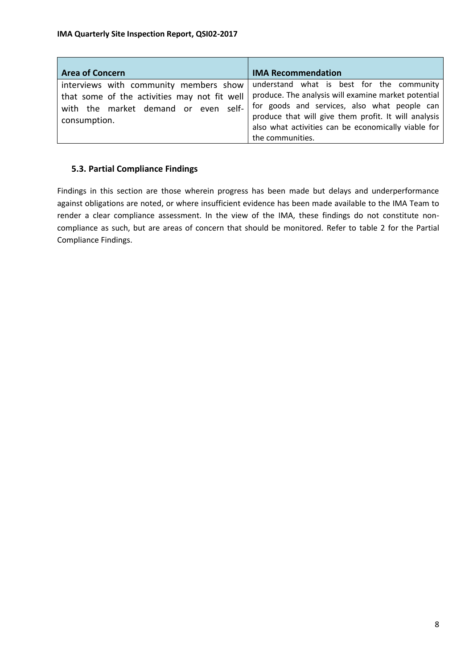| <b>Area of Concern</b>                                                                                                                         | <b>IMA Recommendation</b>                                                                                                                                                                                                                                                           |
|------------------------------------------------------------------------------------------------------------------------------------------------|-------------------------------------------------------------------------------------------------------------------------------------------------------------------------------------------------------------------------------------------------------------------------------------|
| interviews with community members show<br>that some of the activities may not fit well<br>with the market demand or even self-<br>consumption. | understand what is best for the community<br>produce. The analysis will examine market potential<br>for goods and services, also what people can<br>produce that will give them profit. It will analysis<br>also what activities can be economically viable for<br>the communities. |

#### **5.3. Partial Compliance Findings**

Findings in this section are those wherein progress has been made but delays and underperformance against obligations are noted, or where insufficient evidence has been made available to the IMA Team to render a clear compliance assessment. In the view of the IMA, these findings do not constitute noncompliance as such, but are areas of concern that should be monitored. Refer to table 2 for the Partial Compliance Findings.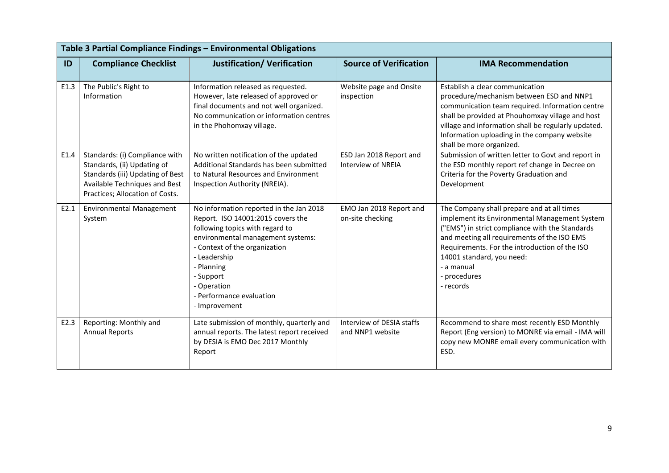| Table 3 Partial Compliance Findings - Environmental Obligations |                                                                                                                                                                       |                                                                                                                                                                                                                                                                                              |                                               |                                                                                                                                                                                                                                                                                                                        |  |  |
|-----------------------------------------------------------------|-----------------------------------------------------------------------------------------------------------------------------------------------------------------------|----------------------------------------------------------------------------------------------------------------------------------------------------------------------------------------------------------------------------------------------------------------------------------------------|-----------------------------------------------|------------------------------------------------------------------------------------------------------------------------------------------------------------------------------------------------------------------------------------------------------------------------------------------------------------------------|--|--|
| ID                                                              | <b>Compliance Checklist</b>                                                                                                                                           | <b>Justification/ Verification</b>                                                                                                                                                                                                                                                           | <b>Source of Verification</b>                 | <b>IMA Recommendation</b>                                                                                                                                                                                                                                                                                              |  |  |
| E1.3                                                            | The Public's Right to<br>Information                                                                                                                                  | Information released as requested.<br>However, late released of approved or<br>final documents and not well organized.<br>No communication or information centres<br>in the Phohomxay village.                                                                                               | Website page and Onsite<br>inspection         | Establish a clear communication<br>procedure/mechanism between ESD and NNP1<br>communication team required. Information centre<br>shall be provided at Phouhomxay village and host<br>village and information shall be regularly updated.<br>Information uploading in the company website<br>shall be more organized.  |  |  |
| E1.4                                                            | Standards: (i) Compliance with<br>Standards, (ii) Updating of<br>Standards (iii) Updating of Best<br>Available Techniques and Best<br>Practices; Allocation of Costs. | No written notification of the updated<br>Additional Standards has been submitted<br>to Natural Resources and Environment<br>Inspection Authority (NREIA).                                                                                                                                   | ESD Jan 2018 Report and<br>Interview of NREIA | Submission of written letter to Govt and report in<br>the ESD monthly report ref change in Decree on<br>Criteria for the Poverty Graduation and<br>Development                                                                                                                                                         |  |  |
| E2.1                                                            | <b>Environmental Management</b><br>System                                                                                                                             | No information reported in the Jan 2018<br>Report. ISO 14001:2015 covers the<br>following topics with regard to<br>environmental management systems:<br>- Context of the organization<br>- Leadership<br>- Planning<br>- Support<br>- Operation<br>- Performance evaluation<br>- Improvement | EMO Jan 2018 Report and<br>on-site checking   | The Company shall prepare and at all times<br>implement its Environmental Management System<br>("EMS") in strict compliance with the Standards<br>and meeting all requirements of the ISO EMS<br>Requirements. For the introduction of the ISO<br>14001 standard, you need:<br>- a manual<br>- procedures<br>- records |  |  |
| E2.3                                                            | Reporting: Monthly and<br><b>Annual Reports</b>                                                                                                                       | Late submission of monthly, quarterly and<br>annual reports. The latest report received<br>by DESIA is EMO Dec 2017 Monthly<br>Report                                                                                                                                                        | Interview of DESIA staffs<br>and NNP1 website | Recommend to share most recently ESD Monthly<br>Report (Eng version) to MONRE via email - IMA will<br>copy new MONRE email every communication with<br>ESD.                                                                                                                                                            |  |  |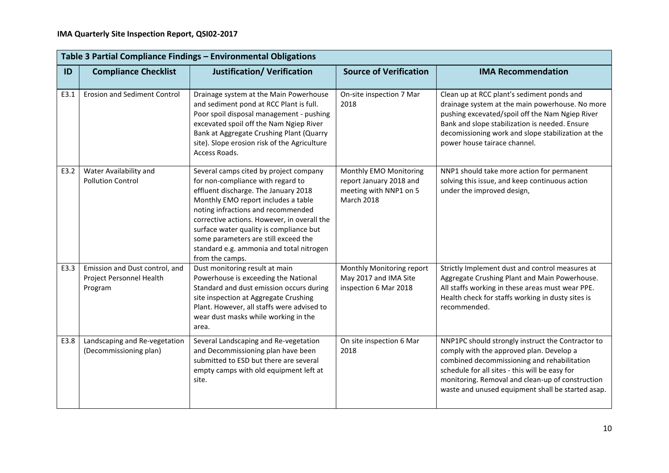| Table 3 Partial Compliance Findings - Environmental Obligations |                                                                       |                                                                                                                                                                                                                                                                                                                                                                                                   |                                                                                           |                                                                                                                                                                                                                                                                                                         |  |  |
|-----------------------------------------------------------------|-----------------------------------------------------------------------|---------------------------------------------------------------------------------------------------------------------------------------------------------------------------------------------------------------------------------------------------------------------------------------------------------------------------------------------------------------------------------------------------|-------------------------------------------------------------------------------------------|---------------------------------------------------------------------------------------------------------------------------------------------------------------------------------------------------------------------------------------------------------------------------------------------------------|--|--|
| ID                                                              | <b>Compliance Checklist</b>                                           | <b>Justification/ Verification</b>                                                                                                                                                                                                                                                                                                                                                                | <b>Source of Verification</b>                                                             | <b>IMA Recommendation</b>                                                                                                                                                                                                                                                                               |  |  |
| E3.1                                                            | <b>Erosion and Sediment Control</b>                                   | Drainage system at the Main Powerhouse<br>and sediment pond at RCC Plant is full.<br>Poor spoil disposal management - pushing<br>excevated spoil off the Nam Ngiep River<br>Bank at Aggregate Crushing Plant (Quarry<br>site). Slope erosion risk of the Agriculture<br>Access Roads.                                                                                                             | On-site inspection 7 Mar<br>2018                                                          | Clean up at RCC plant's sediment ponds and<br>drainage system at the main powerhouse. No more<br>pushing excevated/spoil off the Nam Ngiep River<br>Bank and slope stabilization is needed. Ensure<br>decomissioning work and slope stabilization at the<br>power house tairace channel.                |  |  |
| E3.2                                                            | Water Availability and<br><b>Pollution Control</b>                    | Several camps cited by project company<br>for non-compliance with regard to<br>effluent discharge. The January 2018<br>Monthly EMO report includes a table<br>noting infractions and recommended<br>corrective actions. However, in overall the<br>surface water quality is compliance but<br>some parameters are still exceed the<br>standard e.g. ammonia and total nitrogen<br>from the camps. | Monthly EMO Monitoring<br>report January 2018 and<br>meeting with NNP1 on 5<br>March 2018 | NNP1 should take more action for permanent<br>solving this issue, and keep continuous action<br>under the improved design,                                                                                                                                                                              |  |  |
| E3.3                                                            | Emission and Dust control, and<br>Project Personnel Health<br>Program | Dust monitoring result at main<br>Powerhouse is exceeding the National<br>Standard and dust emission occurs during<br>site inspection at Aggregate Crushing<br>Plant. However, all staffs were advised to<br>wear dust masks while working in the<br>area.                                                                                                                                        | Monthly Monitoring report<br>May 2017 and IMA Site<br>inspection 6 Mar 2018               | Strictly Implement dust and control measures at<br>Aggregate Crushing Plant and Main Powerhouse.<br>All staffs working in these areas must wear PPE.<br>Health check for staffs working in dusty sites is<br>recommended.                                                                               |  |  |
| E3.8                                                            | Landscaping and Re-vegetation<br>(Decommissioning plan)               | Several Landscaping and Re-vegetation<br>and Decommissioning plan have been<br>submitted to ESD but there are several<br>empty camps with old equipment left at<br>site.                                                                                                                                                                                                                          | On site inspection 6 Mar<br>2018                                                          | NNP1PC should strongly instruct the Contractor to<br>comply with the approved plan. Develop a<br>combined decommissioning and rehabilitation<br>schedule for all sites - this will be easy for<br>monitoring. Removal and clean-up of construction<br>waste and unused equipment shall be started asap. |  |  |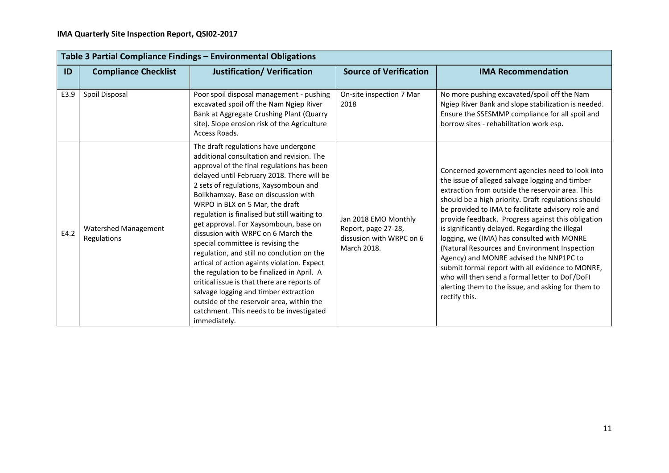| Table 3 Partial Compliance Findings - Environmental Obligations |                                     |                                                                                                                                                                                                                                                                                                                                                                                                                                                                                                                                                                                                                                                                                                                                                                                                                   |                                                                                        |                                                                                                                                                                                                                                                                                                                                                                                                                                                                                                                                                                                                                                                                                                     |  |  |
|-----------------------------------------------------------------|-------------------------------------|-------------------------------------------------------------------------------------------------------------------------------------------------------------------------------------------------------------------------------------------------------------------------------------------------------------------------------------------------------------------------------------------------------------------------------------------------------------------------------------------------------------------------------------------------------------------------------------------------------------------------------------------------------------------------------------------------------------------------------------------------------------------------------------------------------------------|----------------------------------------------------------------------------------------|-----------------------------------------------------------------------------------------------------------------------------------------------------------------------------------------------------------------------------------------------------------------------------------------------------------------------------------------------------------------------------------------------------------------------------------------------------------------------------------------------------------------------------------------------------------------------------------------------------------------------------------------------------------------------------------------------------|--|--|
| ID                                                              | <b>Compliance Checklist</b>         | Justification/Verification                                                                                                                                                                                                                                                                                                                                                                                                                                                                                                                                                                                                                                                                                                                                                                                        | <b>Source of Verification</b>                                                          | <b>IMA Recommendation</b>                                                                                                                                                                                                                                                                                                                                                                                                                                                                                                                                                                                                                                                                           |  |  |
| E3.9                                                            | Spoil Disposal                      | Poor spoil disposal management - pushing<br>excavated spoil off the Nam Ngiep River<br>Bank at Aggregate Crushing Plant (Quarry<br>site). Slope erosion risk of the Agriculture<br>Access Roads.                                                                                                                                                                                                                                                                                                                                                                                                                                                                                                                                                                                                                  | On-site inspection 7 Mar<br>2018                                                       | No more pushing excavated/spoil off the Nam<br>Ngiep River Bank and slope stabilization is needed.<br>Ensure the SSESMMP compliance for all spoil and<br>borrow sites - rehabilitation work esp.                                                                                                                                                                                                                                                                                                                                                                                                                                                                                                    |  |  |
| E4.2                                                            | Watershed Management<br>Regulations | The draft regulations have undergone<br>additional consultation and revision. The<br>approval of the final regulations has been<br>delayed until February 2018. There will be<br>2 sets of regulations, Xaysomboun and<br>Bolikhamxay. Base on discussion with<br>WRPO in BLX on 5 Mar, the draft<br>regulation is finalised but still waiting to<br>get approval. For Xaysomboun, base on<br>dissusion with WRPC on 6 March the<br>special committee is revising the<br>regulation, and still no conclution on the<br>artical of action againts violation. Expect<br>the regulation to be finalized in April. A<br>critical issue is that there are reports of<br>salvage logging and timber extraction<br>outside of the reservoir area, within the<br>catchment. This needs to be investigated<br>immediately. | Jan 2018 EMO Monthly<br>Report, page 27-28,<br>dissusion with WRPC on 6<br>March 2018. | Concerned government agencies need to look into<br>the issue of alleged salvage logging and timber<br>extraction from outside the reservoir area. This<br>should be a high priority. Draft regulations should<br>be provided to IMA to facilitate advisory role and<br>provide feedback. Progress against this obligation<br>is significantly delayed. Regarding the illegal<br>logging, we (IMA) has consulted with MONRE<br>(Natural Resources and Environment Inspection<br>Agency) and MONRE advised the NNP1PC to<br>submit formal report with all evidence to MONRE,<br>who will then send a formal letter to DoF/DoFI<br>alerting them to the issue, and asking for them to<br>rectify this. |  |  |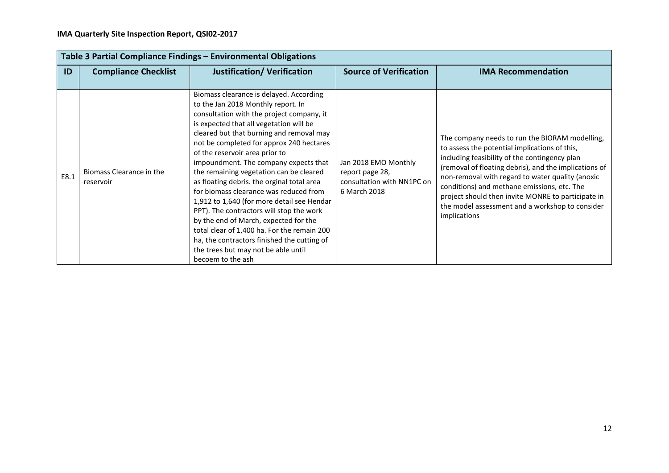| Table 3 Partial Compliance Findings - Environmental Obligations |                                       |                                                                                                                                                                                                                                                                                                                                                                                                                                                                                                                                                                                                                                                                                                                                                                          |                                                                                       |                                                                                                                                                                                                                                                                                                                                                                                                                                       |  |  |
|-----------------------------------------------------------------|---------------------------------------|--------------------------------------------------------------------------------------------------------------------------------------------------------------------------------------------------------------------------------------------------------------------------------------------------------------------------------------------------------------------------------------------------------------------------------------------------------------------------------------------------------------------------------------------------------------------------------------------------------------------------------------------------------------------------------------------------------------------------------------------------------------------------|---------------------------------------------------------------------------------------|---------------------------------------------------------------------------------------------------------------------------------------------------------------------------------------------------------------------------------------------------------------------------------------------------------------------------------------------------------------------------------------------------------------------------------------|--|--|
| ID                                                              | <b>Compliance Checklist</b>           | <b>Justification/ Verification</b>                                                                                                                                                                                                                                                                                                                                                                                                                                                                                                                                                                                                                                                                                                                                       | <b>Source of Verification</b>                                                         | <b>IMA Recommendation</b>                                                                                                                                                                                                                                                                                                                                                                                                             |  |  |
| E8.1                                                            | Biomass Clearance in the<br>reservoir | Biomass clearance is delayed. According<br>to the Jan 2018 Monthly report. In<br>consultation with the project company, it<br>is expected that all vegetation will be<br>cleared but that burning and removal may<br>not be completed for approx 240 hectares<br>of the reservoir area prior to<br>impoundment. The company expects that<br>the remaining vegetation can be cleared<br>as floating debris. the orginal total area<br>for biomass clearance was reduced from<br>1,912 to 1,640 (for more detail see Hendar<br>PPT). The contractors will stop the work<br>by the end of March, expected for the<br>total clear of 1,400 ha. For the remain 200<br>ha, the contractors finished the cutting of<br>the trees but may not be able until<br>becoem to the ash | Jan 2018 EMO Monthly<br>report page 28,<br>consultation with NN1PC on<br>6 March 2018 | The company needs to run the BIORAM modelling,<br>to assess the potential implications of this,<br>including feasibility of the contingency plan<br>(removal of floating debris), and the implications of<br>non-removal with regard to water quality (anoxic<br>conditions) and methane emissions, etc. The<br>project should then invite MONRE to participate in<br>the model assessment and a workshop to consider<br>implications |  |  |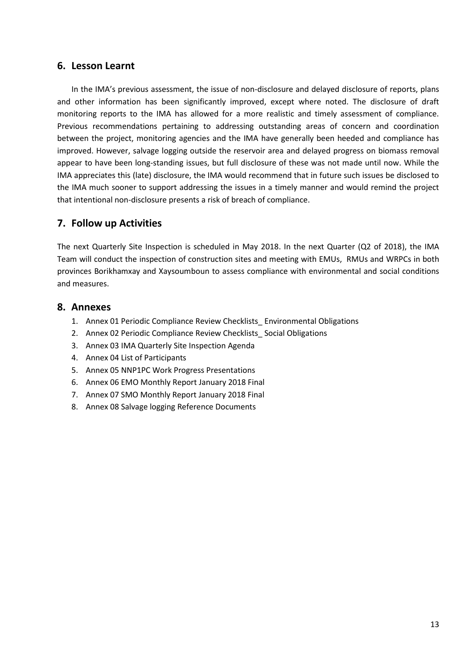#### **6. Lesson Learnt**

In the IMA's previous assessment, the issue of non-disclosure and delayed disclosure of reports, plans and other information has been significantly improved, except where noted. The disclosure of draft monitoring reports to the IMA has allowed for a more realistic and timely assessment of compliance. Previous recommendations pertaining to addressing outstanding areas of concern and coordination between the project, monitoring agencies and the IMA have generally been heeded and compliance has improved. However, salvage logging outside the reservoir area and delayed progress on biomass removal appear to have been long-standing issues, but full disclosure of these was not made until now. While the IMA appreciates this (late) disclosure, the IMA would recommend that in future such issues be disclosed to the IMA much sooner to support addressing the issues in a timely manner and would remind the project that intentional non-disclosure presents a risk of breach of compliance.

#### **7. Follow up Activities**

The next Quarterly Site Inspection is scheduled in May 2018. In the next Quarter (Q2 of 2018), the IMA Team will conduct the inspection of construction sites and meeting with EMUs, RMUs and WRPCs in both provinces Borikhamxay and Xaysoumboun to assess compliance with environmental and social conditions and measures.

#### **8. Annexes**

- 1. Annex 01 Periodic Compliance Review Checklists\_ Environmental Obligations
- 2. Annex 02 Periodic Compliance Review Checklists Social Obligations
- 3. Annex 03 IMA Quarterly Site Inspection Agenda
- 4. Annex 04 List of Participants
- 5. Annex 05 NNP1PC Work Progress Presentations
- 6. Annex 06 EMO Monthly Report January 2018 Final
- 7. Annex 07 SMO Monthly Report January 2018 Final
- 8. Annex 08 Salvage logging Reference Documents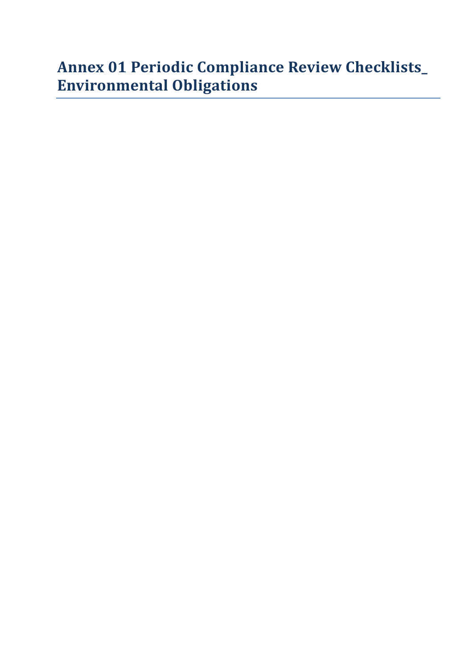# **Annex 01 Periodic Compliance Review Checklists\_ Environmental Obligations**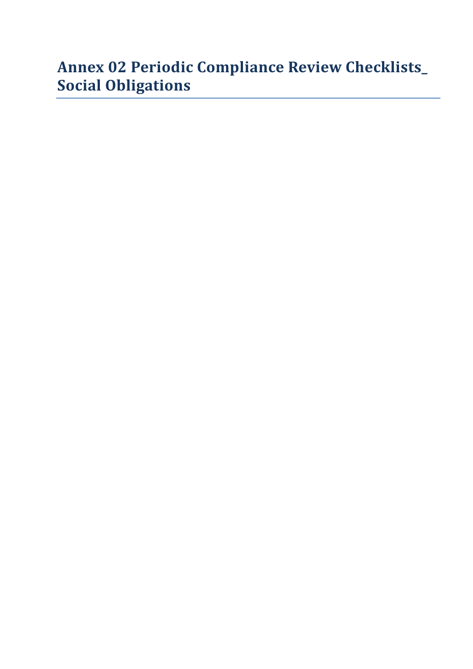# **Annex 02 Periodic Compliance Review Checklists\_ Social Obligations**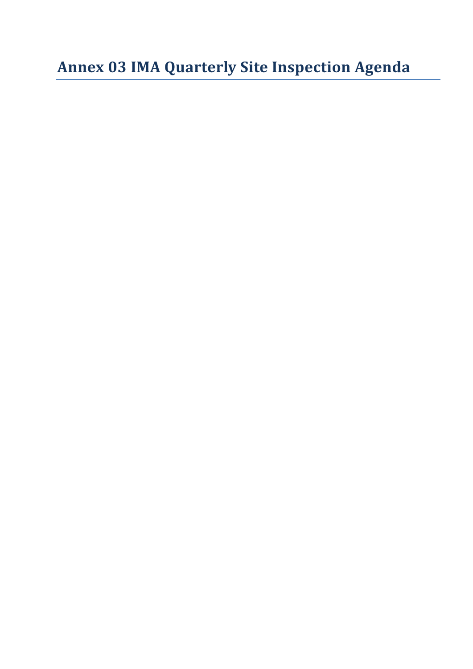**Annex 03 IMA Quarterly Site Inspection Agenda**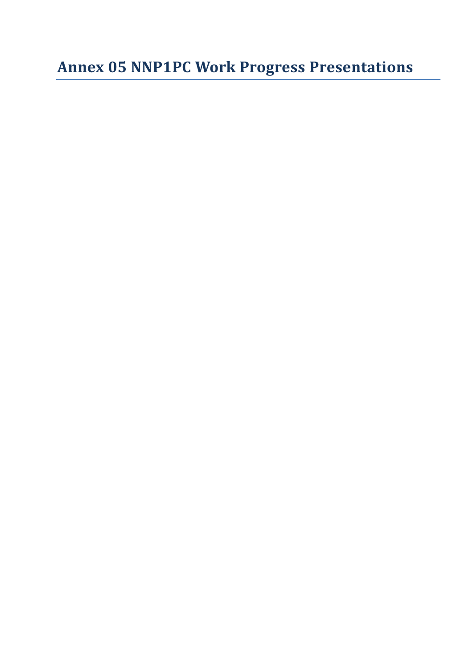**Annex 05 NNP1PC Work Progress Presentations**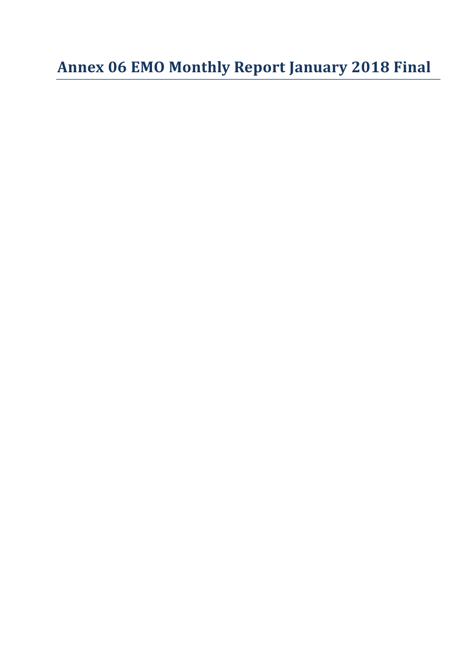**Annex 06 EMO Monthly Report January 2018 Final**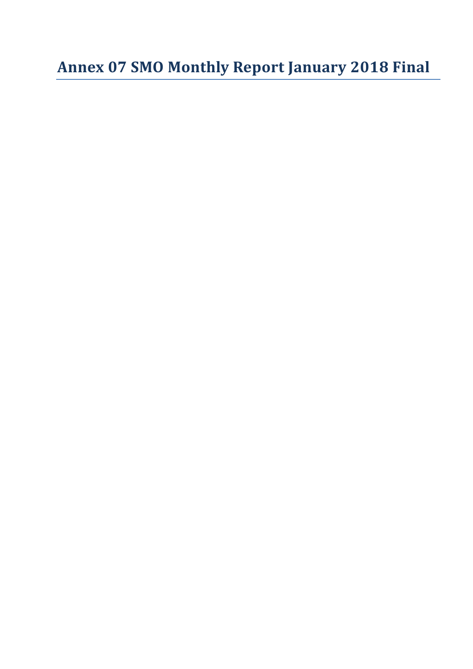**Annex 07 SMO Monthly Report January 2018 Final**